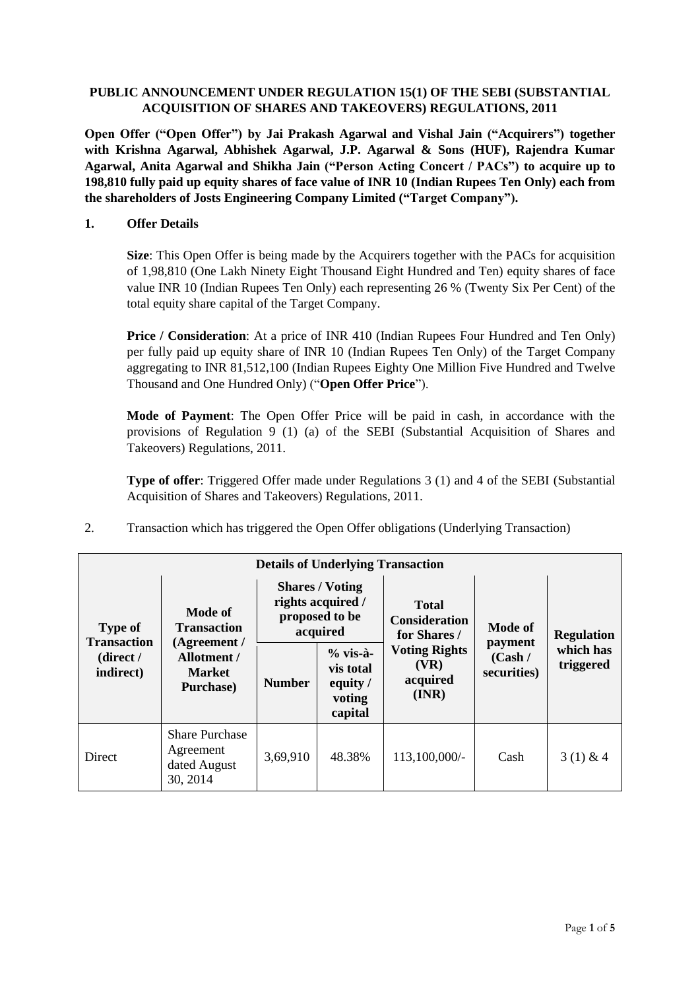## **PUBLIC ANNOUNCEMENT UNDER REGULATION 15(1) OF THE SEBI (SUBSTANTIAL ACQUISITION OF SHARES AND TAKEOVERS) REGULATIONS, 2011**

**Open Offer ("Open Offer") by Jai Prakash Agarwal and Vishal Jain ("Acquirers") together with Krishna Agarwal, Abhishek Agarwal, J.P. Agarwal & Sons (HUF), Rajendra Kumar Agarwal, Anita Agarwal and Shikha Jain ("Person Acting Concert / PACs") to acquire up to 198,810 fully paid up equity shares of face value of INR 10 (Indian Rupees Ten Only) each from the shareholders of Josts Engineering Company Limited ("Target Company").**

### **1. Offer Details**

**Size**: This Open Offer is being made by the Acquirers together with the PACs for acquisition of 1,98,810 (One Lakh Ninety Eight Thousand Eight Hundred and Ten) equity shares of face value INR 10 (Indian Rupees Ten Only) each representing 26 % (Twenty Six Per Cent) of the total equity share capital of the Target Company.

**Price / Consideration:** At a price of INR 410 (Indian Rupees Four Hundred and Ten Only) per fully paid up equity share of INR 10 (Indian Rupees Ten Only) of the Target Company aggregating to INR 81,512,100 (Indian Rupees Eighty One Million Five Hundred and Twelve Thousand and One Hundred Only) ("**Open Offer Price**").

**Mode of Payment**: The Open Offer Price will be paid in cash, in accordance with the provisions of Regulation 9 (1) (a) of the SEBI (Substantial Acquisition of Shares and Takeovers) Regulations, 2011.

**Type of offer**: Triggered Offer made under Regulations 3 (1) and 4 of the SEBI (Substantial Acquisition of Shares and Takeovers) Regulations, 2011.

2. Transaction which has triggered the Open Offer obligations (Underlying Transaction)

| <b>Details of Underlying Transaction</b>                       |                                                                  |               |                                                                           |                                                   |                                   |                        |  |
|----------------------------------------------------------------|------------------------------------------------------------------|---------------|---------------------------------------------------------------------------|---------------------------------------------------|-----------------------------------|------------------------|--|
| <b>Type of</b><br><b>Transaction</b><br>(direct /<br>indirect) | <b>Mode of</b><br><b>Transaction</b>                             |               | <b>Shares / Voting</b><br>rights acquired /<br>proposed to be<br>acquired | Total<br><b>Consideration</b><br>for Shares /     | <b>Mode of</b>                    | <b>Regulation</b>      |  |
|                                                                | (Agreement /<br><b>Allotment /</b><br><b>Market</b><br>Purchase) | <b>Number</b> | $%$ vis-à-<br>vis total<br>equity /<br>voting<br>capital                  | <b>Voting Rights</b><br>(VR)<br>acquired<br>(INR) | payment<br>(Cash /<br>securities) | which has<br>triggered |  |
| Direct                                                         | <b>Share Purchase</b><br>Agreement<br>dated August<br>30, 2014   | 3,69,910      | 48.38%                                                                    | 113,100,000/-                                     | Cash                              | $3(1)$ & 4             |  |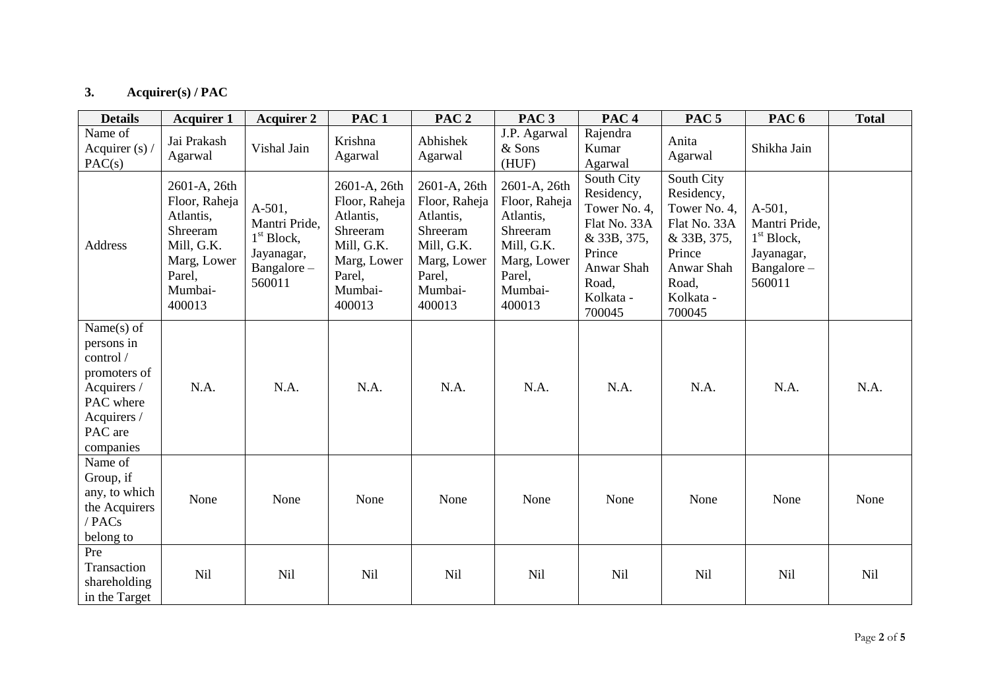# **3. Acquirer(s) / PAC**

| <b>Details</b>                                                                                                              | <b>Acquirer 1</b>                                                                                                  | <b>Acquirer 2</b>                                                                         | PAC <sub>1</sub>                                                                                                   | PAC <sub>2</sub>                                                                                                   | PAC <sub>3</sub>                                                                                                   | PAC <sub>4</sub>                                                                                                                | PAC <sub>5</sub>                                                                                                                | PAC <sub>6</sub>                                                                           | <b>Total</b> |
|-----------------------------------------------------------------------------------------------------------------------------|--------------------------------------------------------------------------------------------------------------------|-------------------------------------------------------------------------------------------|--------------------------------------------------------------------------------------------------------------------|--------------------------------------------------------------------------------------------------------------------|--------------------------------------------------------------------------------------------------------------------|---------------------------------------------------------------------------------------------------------------------------------|---------------------------------------------------------------------------------------------------------------------------------|--------------------------------------------------------------------------------------------|--------------|
| Name of<br>Acquirer $(s)$<br>PAC(s)                                                                                         | Jai Prakash<br>Agarwal                                                                                             | Vishal Jain                                                                               | Krishna<br>Agarwal                                                                                                 | Abhishek<br>Agarwal                                                                                                | J.P. Agarwal<br>& Sons<br>(HUF)                                                                                    | Rajendra<br>Kumar<br>Agarwal                                                                                                    | Anita<br>Agarwal                                                                                                                | Shikha Jain                                                                                |              |
| Address                                                                                                                     | 2601-A, 26th<br>Floor, Raheja<br>Atlantis,<br>Shreeram<br>Mill, G.K.<br>Marg, Lower<br>Parel,<br>Mumbai-<br>400013 | $A-501,$<br>Mantri Pride,<br>1 <sup>st</sup> Block,<br>Jayanagar,<br>Bangalore-<br>560011 | 2601-A, 26th<br>Floor, Raheja<br>Atlantis,<br>Shreeram<br>Mill, G.K.<br>Marg, Lower<br>Parel,<br>Mumbai-<br>400013 | 2601-A, 26th<br>Floor, Raheja<br>Atlantis,<br>Shreeram<br>Mill, G.K.<br>Marg, Lower<br>Parel,<br>Mumbai-<br>400013 | 2601-A, 26th<br>Floor, Raheja<br>Atlantis,<br>Shreeram<br>Mill, G.K.<br>Marg, Lower<br>Parel,<br>Mumbai-<br>400013 | South City<br>Residency,<br>Tower No. 4,<br>Flat No. 33A<br>& 33B, 375,<br>Prince<br>Anwar Shah<br>Road,<br>Kolkata -<br>700045 | South City<br>Residency,<br>Tower No. 4,<br>Flat No. 33A<br>& 33B, 375,<br>Prince<br>Anwar Shah<br>Road,<br>Kolkata -<br>700045 | $A-501$ ,<br>Mantri Pride,<br>1 <sup>st</sup> Block,<br>Jayanagar,<br>Bangalore-<br>560011 |              |
| Name $(s)$ of<br>persons in<br>control /<br>promoters of<br>Acquirers /<br>PAC where<br>Acquirers /<br>PAC are<br>companies | N.A.                                                                                                               | N.A.                                                                                      | N.A.                                                                                                               | N.A.                                                                                                               | N.A.                                                                                                               | N.A.                                                                                                                            | N.A.                                                                                                                            | N.A.                                                                                       | N.A.         |
| Name of<br>Group, if<br>any, to which<br>the Acquirers<br>/ PACs<br>belong to                                               | None                                                                                                               | None                                                                                      | None                                                                                                               | None                                                                                                               | None                                                                                                               | None                                                                                                                            | None                                                                                                                            | None                                                                                       | None         |
| Pre<br>Transaction<br>shareholding<br>in the Target                                                                         | <b>Nil</b>                                                                                                         | Nil                                                                                       | <b>Nil</b>                                                                                                         | <b>Nil</b>                                                                                                         | <b>Nil</b>                                                                                                         | <b>Nil</b>                                                                                                                      | <b>Nil</b>                                                                                                                      | Nil                                                                                        | <b>Nil</b>   |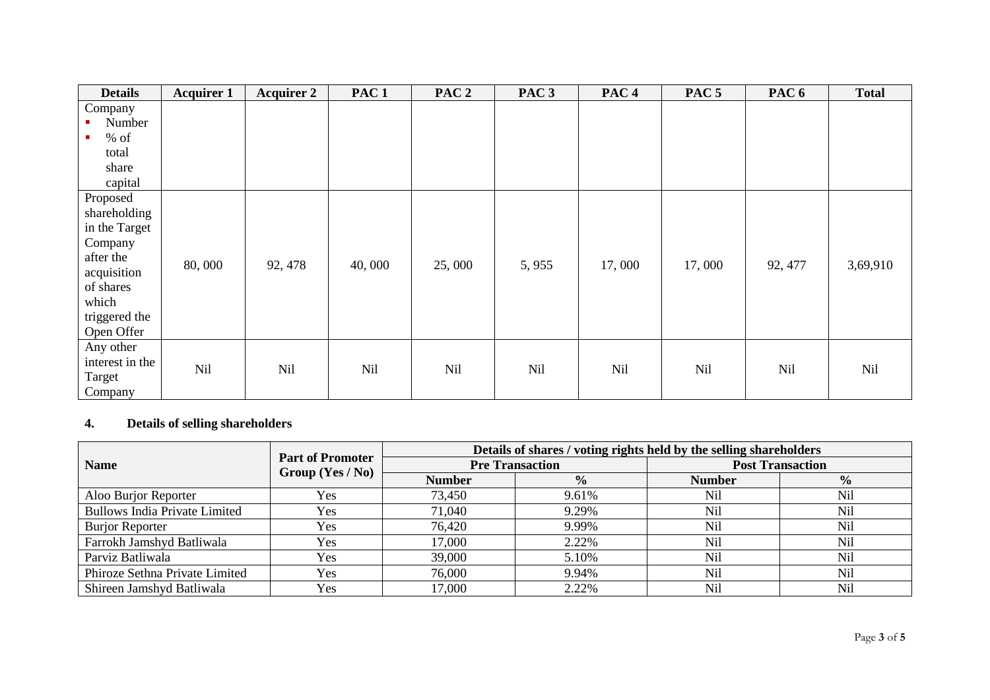| <b>Details</b>                                                                                                                        | <b>Acquirer 1</b> | <b>Acquirer 2</b> | PAC <sub>1</sub> | PAC <sub>2</sub> | PAC <sub>3</sub> | PAC <sub>4</sub> | PAC <sub>5</sub> | PAC <sub>6</sub> | <b>Total</b> |
|---------------------------------------------------------------------------------------------------------------------------------------|-------------------|-------------------|------------------|------------------|------------------|------------------|------------------|------------------|--------------|
| Company<br>Number<br>$%$ of<br>٠<br>total<br>share<br>capital                                                                         |                   |                   |                  |                  |                  |                  |                  |                  |              |
| Proposed<br>shareholding<br>in the Target<br>Company<br>after the<br>acquisition<br>of shares<br>which<br>triggered the<br>Open Offer | 80,000            | 92, 478           | 40,000           | 25,000           | 5,955            | 17,000           | 17,000           | 92, 477          | 3,69,910     |
| Any other<br>interest in the<br>Target<br>Company                                                                                     | <b>Nil</b>        | <b>Nil</b>        | <b>Nil</b>       | Nil              | <b>Nil</b>       | <b>Nil</b>       | Nil              | Nil              | <b>Nil</b>   |

# **4. Details of selling shareholders**

|                                      |                                               | Details of shares / voting rights held by the selling shareholders |                        |                         |               |  |  |
|--------------------------------------|-----------------------------------------------|--------------------------------------------------------------------|------------------------|-------------------------|---------------|--|--|
| <b>Name</b>                          | <b>Part of Promoter</b><br>Group $(Yes / No)$ |                                                                    | <b>Pre Transaction</b> | <b>Post Transaction</b> |               |  |  |
|                                      |                                               | <b>Number</b>                                                      | $\frac{0}{0}$          | <b>Number</b>           | $\frac{0}{0}$ |  |  |
| Aloo Burjor Reporter                 | Yes                                           | 73,450                                                             | 9.61%                  | Nil                     | <b>Nil</b>    |  |  |
| <b>Bullows India Private Limited</b> | Yes                                           | 71,040                                                             | 9.29%                  | Nil                     | <b>Nil</b>    |  |  |
| <b>Burjor Reporter</b>               | Yes                                           | 76,420                                                             | 9.99%                  | <b>Nil</b>              | <b>Nil</b>    |  |  |
| Farrokh Jamshyd Batliwala            | Yes                                           | 17,000                                                             | 2.22%                  | <b>Nil</b>              | <b>Nil</b>    |  |  |
| Parviz Batliwala                     | Yes                                           | 39,000                                                             | 5.10%                  | <b>Nil</b>              | <b>Nil</b>    |  |  |
| Phiroze Sethna Private Limited       | Yes                                           | 76,000                                                             | 9.94%                  | <b>Nil</b>              | Nil           |  |  |
| Shireen Jamshyd Batliwala            | Yes                                           | 17,000                                                             | 2.22%                  | Nil                     | <b>Nil</b>    |  |  |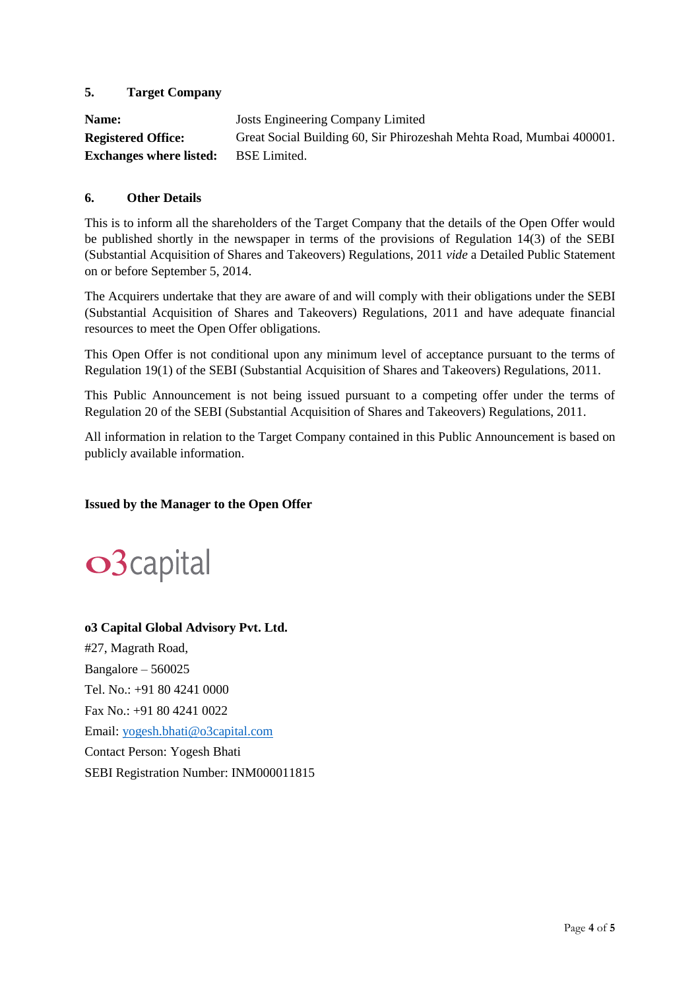## **5. Target Company**

| Name:                          | Josts Engineering Company Limited                                    |
|--------------------------------|----------------------------------------------------------------------|
| <b>Registered Office:</b>      | Great Social Building 60, Sir Phirozeshah Mehta Road, Mumbai 400001. |
| <b>Exchanges where listed:</b> | <b>BSE</b> Limited.                                                  |

#### **6. Other Details**

This is to inform all the shareholders of the Target Company that the details of the Open Offer would be published shortly in the newspaper in terms of the provisions of Regulation 14(3) of the SEBI (Substantial Acquisition of Shares and Takeovers) Regulations, 2011 *vide* a Detailed Public Statement on or before September 5, 2014.

The Acquirers undertake that they are aware of and will comply with their obligations under the SEBI (Substantial Acquisition of Shares and Takeovers) Regulations, 2011 and have adequate financial resources to meet the Open Offer obligations.

This Open Offer is not conditional upon any minimum level of acceptance pursuant to the terms of Regulation 19(1) of the SEBI (Substantial Acquisition of Shares and Takeovers) Regulations, 2011.

This Public Announcement is not being issued pursuant to a competing offer under the terms of Regulation 20 of the SEBI (Substantial Acquisition of Shares and Takeovers) Regulations, 2011.

All information in relation to the Target Company contained in this Public Announcement is based on publicly available information.

#### **Issued by the Manager to the Open Offer**



# **o3 Capital Global Advisory Pvt. Ltd.** #27, Magrath Road, Bangalore – 560025 Tel. No.: +91 80 4241 0000 Fax No.: +91 80 4241 0022 Email: [yogesh.bhati@o3capital.com](mailto:yogesh.bhati@o3capital.com) Contact Person: Yogesh Bhati SEBI Registration Number: INM000011815